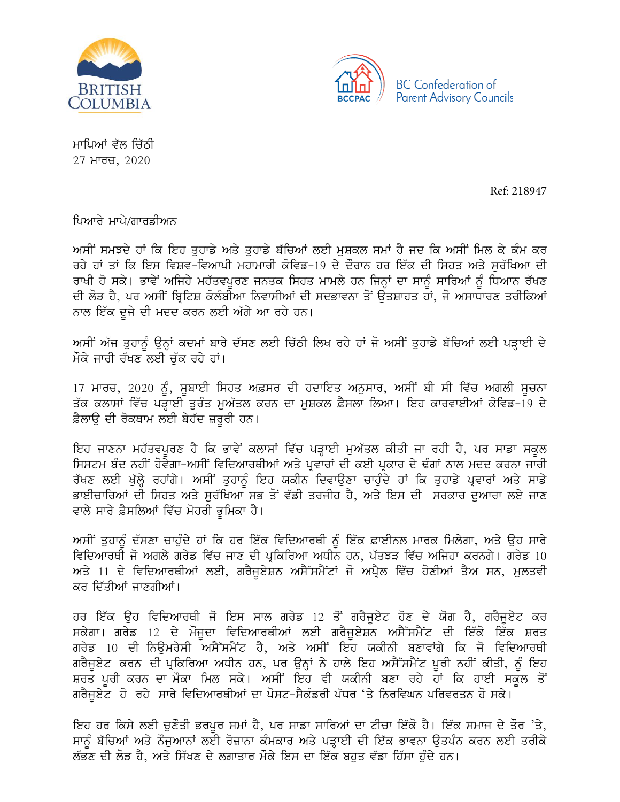



ਮਾਪਿਆਂ ਵੱਲ ਚਿੱਠੀ  $27$  ਮਾਰਚ,  $2020$ 

Ref: 218947

ਪਿਆਰੇ ਮਾਪੇ/ਗਾਰਡੀਅਨ

ਅਸੀਂ ਸਮਝਦੇ ਹਾਂ ਕਿ ਇਹ ਤਹਾਡੇ ਅਤੇ ਤਹਾਡੇ ਬੱਚਿਆਂ ਲਈ ਮਸ਼ਕਲ ਸਮਾਂ ਹੈ ਜਦ ਕਿ ਅਸੀਂ ਮਿਲ ਕੇ ਕੰਮ ਕਰ ਰਹੇ ਹਾਂ ਤਾਂ ਕਿ ਇਸ ਵਿਸ਼ਵ-ਵਿਆਪੀ ਮਹਾਮਾਰੀ ਕੋਵਿਡ-19 ਦੇ ਦੌਰਾਨ ਹਰ ਇੱਕ ਦੀ ਸਿਹਤ ਅਤੇ ਸਰੱਖਿਆ ਦੀ ਰਾਖੀ ਹੋ ਸਕੇ। ਭਾਵੇਂ ਅਜਿਹੇ ਮਹੱਤਵਪੂਰਣ ਜਨਤਕ ਸਿਹਤ ਮਾਮਲੇ ਹਨ ਜਿਨ੍ਹਾਂ ਦਾ ਸਾਨੂੰ ਸਾਰਿਆਂ ਨੂੰ ਧਿਆਨ ਰੱਖਣ ਦੀ ਲੋੜ ਹੈ, ਪਰ ਅਸੀਂ ਬ੍ਰਿਟਿਸ਼ ਕੋਲੰਬੀਆ ਨਿਵਾਸੀਆਂ ਦੀ ਸਦਭਾਵਨਾ ਤੋਂ ੳਤਸ਼ਾਹਤ ਹਾਂ, ਜੋ ਅਸਾਧਾਰਣ ਤਰੀਕਿਆਂ ਨਾਲ ਇੱਕ ਦੂਜੇ ਦੀ ਮਦਦ ਕਰਨ ਲਈ ਅੱਗੇ ਆ ਰਹੇ ਹਨ।

ਅਸੀਂ ਅੱਜ ਤੁਹਾਨੂੰ ਉਨ੍ਹਾਂ ਕਦਮਾਂ ਬਾਰੇ ਦੱਸਣ ਲਈ ਚਿੱਠੀ ਲਿਖ ਰਹੇ ਹਾਂ ਜੋ ਅਸੀਂ ਤੁਹਾਡੇ ਬੱਚਿਆਂ ਲਈ ਪੜ੍ਹਾਈ ਦੇ ਮੌਕੇ ਜਾਰੀ ਰੱਖਣ ਲਈ ਚੱਕ ਰਹੇ ਹਾਂ।

17 ਮਾਰਚ, 2020 ਨੂੰ, ਸੁਬਾਈ ਸਿਹਤ ਅਫ਼ਸਰ ਦੀ ਹਦਾਇਤ ਅਨੁਸਾਰ, ਅਸੀਂ ਬੀ ਸੀ ਵਿੱਚ ਅਗਲੀ ਸੂਚਨਾ ਤੱਕ ਕਲਾਸਾਂ ਵਿੱਚ ਪੜ੍ਹਾਈ ਤੁਰੰਤ ਮੁਅੱਤਲ ਕਰਨ ਦਾ ਮੁਸ਼ਕਲ ਫ਼ੈਸਲਾ ਲਿਆ। ਇਹ ਕਾਰਵਾਈਆਂ ਕੋਵਿਡ-19 ਦੇ ਫ਼ੈਲਾੳ ਦੀ ਰੋਕਥਾਮ ਲਈ ਬੇਹੱਦ ਜ਼ਰੂਰੀ ਹਨ।

ਇਹ ਜਾਣਨਾ ਮਹੱਤਵਪੂਰਣ ਹੈ ਕਿ ਭਾਵੇਂ ਕਲਾਸਾਂ ਵਿੱਚ ਪੜ੍ਹਾਈ ਮੁਅੱਤਲ ਕੀਤੀ ਜਾ ਰਹੀ ਹੈ, ਪਰ ਸਾਡਾ ਸਕੂਲ <u>ਸਿਸਟਮ ਬੰਦ ਨਹੀਂ ਹੋਵੇਗਾ-ਅਸੀਂ ਵਿਦਿਆਰਥੀਆਂ ਅਤੇ ਪ੍ਰਵਾਰਾਂ ਦੀ ਕਈ ਪ੍ਰਕਾਰ ਦੇ ਢੰਗਾਂ ਨਾਲ ਮਦਦ ਕਰਨਾ ਜਾਰੀ</u> ਰੱਖਣ ਲਈ ਖੁੱਲ੍ਹੇ ਰਹਾਂਗੇ। ਅਸੀਂ ਤੁਹਾਨੂੰ ਇਹ ਯਕੀਨ ਦਿਵਾਉਣਾ ਚਾਹੁੰਦੇ ਹਾਂ ਕਿ ਤੁਹਾਡੇ ਪ੍ਰਵਾਰਾਂ ਅਤੇ ਸਾਡੇ ਭਾਈਚਾਰਿਆਂ ਦੀ ਸਿਹਤ ਅਤੇ ਸਰੱਖਿਆ ਸਭ ਤੋਂ ਵੱਡੀ ਤਰਜੀਹ ਹੈ, ਅਤੇ ਇਸ ਦੀ ਸਰਕਾਰ ਦੁਆਰਾ ਲਏ ਜਾਣ ਵਾਲੇ ਸਾਰੇ ਫ਼ੈਸਲਿਆਂ ਵਿੱਚ ਮੋਹਰੀ ਭੂਮਿਕਾ ਹੈ।

ਅਸੀਂ ਤੁਹਾਨੂੰ ਦੱਸਣਾ ਚਾਹੁੰਦੇ ਹਾਂ ਕਿ ਹਰ ਇੱਕ ਵਿਦਿਆਰਥੀ ਨੂੰ ਇੱਕ ਫ਼ਾਈਨਲ ਮਾਰਕ ਮਿਲੇਗਾ, ਅਤੇ ਉਹ ਸਾਰੇ ਵਿਦਿਆਰਥੀ ਜੋ ਅਗਲੇ ਗਰੇਡ ਵਿੱਚ ਜਾਣ ਦੀ ਪ੍ਰਕਿਰਿਆ ਅਧੀਨ ਹਨ, ਪੱਤਝੜ ਵਿੱਚ ਅਜਿਹਾ ਕਰਨਗੇ। ਗਰੇਡ  $10$ ਅਤੇ 11 ਦੇ ਵਿਦਿਆਰਥੀਆਂ ਲਈ, ਗਰੈਜੂਏਸ਼ਨ ਅਸੈੱਸਮੈਂਟਾਂ ਜੋ ਅਪ੍ਰੈਲ ਵਿੱਚ ਹੋਣੀਆਂ ਤੈਅ ਸਨ, ਮੁਲਤਵੀ ਕਰ ਦਿੱਤੀਆਂ ਜਾਣਗੀਆਂ।

ਹਰ ਇੱਕ ਉਹ ਵਿਦਿਆਰਥੀ ਜੋ ਇਸ ਸਾਲ ਗਰੇਡ 12 ਤੋਂ ਗਰੈਜੁਏਟ ਹੋਣ ਦੇ ਯੋਗ ਹੈ, ਗਰੈਜੁਏਟ ਕਰ ਸਕੇਗਾ। ਗਰੇਡ 12 ਦੇ ਮੌਜੂਦਾ ਵਿਦਿਆਰਥੀਆਂ ਲਈ ਗਰੈਜੁਏਸ਼ਨ ਅਸੈੱਸਮੈਂਟ ਦੀ ਇੱਕੋ ਇੱਕ ਸ਼ਰਤ ਗਰੇਡ 10 ਦੀ ਨਿਊਮਰੇਸੀ ਅਸੈੱਸਮੈਂਟ ਹੈ, ਅਤੇ ਅਸੀਂ ਇਹ ਯਕੀਨੀ ਬਣਾਵਾਂਗੇ ਕਿ ਜੋ ਵਿਦਿਆਰਥੀ ਗਰੈਜੁਏਟ ਕਰਨ ਦੀ ਪ੍ਰਕਿਰਿਆ ਅਧੀਨ ਹਨ, ਪਰ ਉਨ੍ਹਾਂ ਨੇ ਹਾਲੇ ਇਹ ਅਸੈੱਸਮੈਂਟ ਪੂਰੀ ਨਹੀਂ ਕੀਤੀ, ਨੂੰ ਇਹ ਸ਼ਰਤ ਪੂਰੀ ਕਰਨ ਦਾ ਮੌਕਾ ਮਿਲ ਸਕੇ। ਅਸੀਂ ਇਹ ਵੀ ਯਕੀਨੀ ਬਣਾ ਰਹੇ ਹਾਂ ਕਿ ਹਾਈ ਸਕੂਲ ਤੋਂ ਗਰੈਜੁਏਟ ਹੋ ਰਹੇ ਸਾਰੇ ਵਿਦਿਆਰਥੀਆਂ ਦਾ ਪੋਸਟ-ਸੈਕੰਡਰੀ ਪੱਧਰ 'ਤੇ ਨਿਰਵਿਘਨ ਪਰਿਵਰਤਨ ਹੋ ਸਕੇ।

ਇਹ ਹਰ ਕਿਸੇ ਲਈ ਚੁਣੌਤੀ ਭਰਪੁਰ ਸਮਾਂ ਹੈ, ਪਰ ਸਾਡਾ ਸਾਰਿਆਂ ਦਾ ਟੀਚਾ ਇੱਕੋ ਹੈ। ਇੱਕ ਸਮਾਜ ਦੇ ਤੌਰ 'ਤੇ, ਸਾਨੂੰ ਬੱਚਿਆਂ ਅਤੇ ਨੌਜੁਆਨਾਂ ਲਈ ਰੋਜ਼ਾਨਾ ਕੰਮਕਾਰ ਅਤੇ ਪੜ੍ਹਾਈ ਦੀ ਇੱਕ ਭਾਵਨਾ ਉਤਪੰਨ ਕਰਨ ਲਈ ਤਰੀਕੇ ਲੱਭਣ ਦੀ ਲੋੜ ਹੈ, ਅਤੇ ਸਿੱਖਣ ਦੇ ਲਗਾਤਾਰ ਮੌਕੇ ਇਸ ਦਾ ਇੱਕ ਬਹੁਤ ਵੱਡਾ ਹਿੱਸਾ ਹੁੰਦੇ ਹਨ।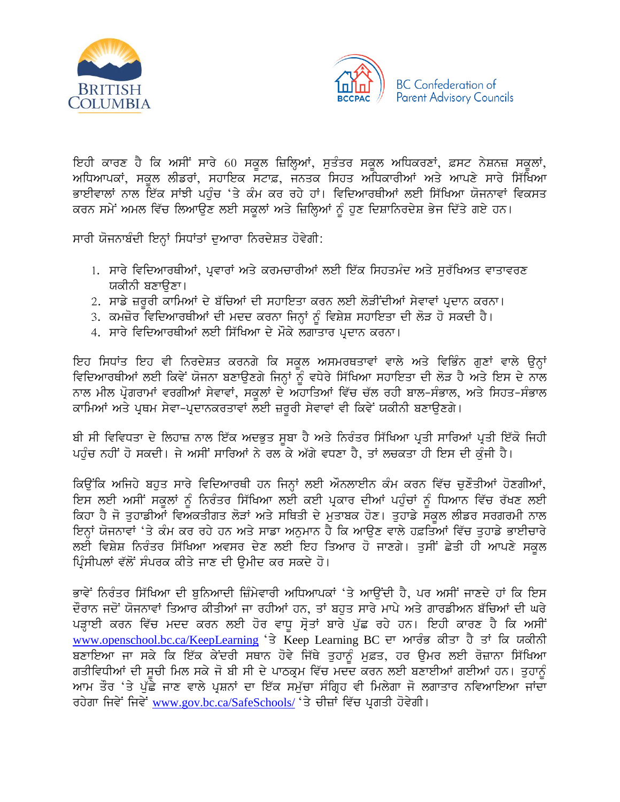



ਇਹੀ ਕਾਰਣ ਹੈ ਕਿ ਅਸੀਂ ਸਾਰੇ 60 ਸਕੂਲ ਜ਼ਿਲ੍ਹਿਆਂ, ਸੁਤੰਤਰ ਸਕੂਲ ਅਧਿਕਰਣਾਂ, ਫ਼ਸਟ ਨੇਸ਼ਨਜ਼ ਸਕੂਲਾਂ, ਅਧਿਆਪਕਾਂ, ਸਕਲ ਲੀਡਰਾਂ, ਸਹਾਇਕ ਸਟਾਫ਼, ਜਨਤਕ ਸਿਹਤ ਅਧਿਕਾਰੀਆਂ ਅਤੇ ਆਪਣੇ ਸਾਰੇ ਸਿੱਖਿਆ ਭਾਈਵਾਲਾਂ ਨਾਲ ਇੱਕ ਸਾਂਝੀ ਪਹੁੰਚ 'ਤੇ ਕੰਮ ਕਰ ਰਹੇ ਹਾਂ। ਵਿਦਿਆਰਥੀਆਂ ਲਈ ਸਿੱਖਿਆ ਯੋਜਨਾਵਾਂ ਵਿਕਸਤ ਕਰਨ ਸਮੇਂ ਅਮਲ ਵਿੱਚ ਲਿਆਉਣ ਲਈ ਸਕਲਾਂ ਅਤੇ ਜ਼ਿਲ੍ਹਿਆਂ ਨੂੰ ਹੁਣ ਦਿਸ਼ਾਨਿਰਦੇਸ਼ ਭੇਜ ਦਿੱਤੇ ਗਏ ਹਨ।

ਸਾਰੀ ਯੋਜਨਾਬੰਦੀ ਇਨ੍ਹਾਂ ਸਿਧਾਂਤਾਂ ਦੁਆਰਾ ਨਿਰਦੇਸ਼ਤ ਹੋਵੇਗੀ:

- 1. ਸਾਰੇ ਵਿਦਿਆਰਥੀਆਂ, ਪ੍ਰਵਾਰਾਂ ਅਤੇ ਕਰਮਚਾਰੀਆਂ ਲਈ ਇੱਕ ਸਿਹਤਮੰਦ ਅਤੇ ਸੁਰੱਖਿਅਤ ਵਾਤਾਵਰਣ ਯਕੀਨੀ ਬਣਾੳਣਾ।
- 2. ਸਾਡੇ ਜ਼ਰਰੀ ਕਾਮਿਆਂ ਦੇ ਬੱਚਿਆਂ ਦੀ ਸਹਾਇਤਾ ਕਰਨ ਲਈ ਲੋੜੀਂਦੀਆਂ ਸੇਵਾਵਾਂ ਪ੍ਰਦਾਨ ਕਰਨਾ।
- 3. ਕਮਜ਼ੋਰ ਵਿਦਿਆਰਥੀਆਂ ਦੀ ਮਦਦ ਕਰਨਾ ਜਿਨ੍ਹਾਂ ਨੂੰ ਵਿਸ਼ੇਸ਼ ਸਹਾਇਤਾ ਦੀ ਲੋੜ ਹੋ ਸਕਦੀ ਹੈ।
- 4. ਸਾਰੇ ਵਿਦਿਆਰਥੀਆਂ ਲਈ ਸਿੱਖਿਆ ਦੇ ਮੌਕੇ ਲਗਾਤਾਰ ਪਦਾਨ ਕਰਨਾ।

ਇਹ ਸਿਧਾਂਤ ਇਹ ਵੀ ਨਿਰਦੇਸ਼ਤ ਕਰਨਗੇ ਕਿ ਸਕੂਲ ਅਸਮਰਥਤਾਵਾਂ ਵਾਲੇ ਅਤੇ ਵਿਭਿੰਨ ਗੁਣਾਂ ਵਾਲੇ ਉਨ੍ਹਾਂ ਵਿਦਿਆਰਥੀਆਂ ਲਈ ਕਿਵੇਂ ਯੋਜਨਾ ਬਣਾਉਣਗੇ ਜਿਨ੍ਹਾਂ ਨੂੰ ਵਧੇਰੇ ਸਿੱਖਿਆ ਸਹਾਇਤਾ ਦੀ ਲੋੜ ਹੈ ਅਤੇ ਇਸ ਦੇ ਨਾਲ ਨਾਲ ਮੀਲ ਪ੍ਰੋਗਰਾਮਾਂ ਵਰਗੀਆਂ ਸੇਵਾਵਾਂ, ਸਕੂਲਾਂ ਦੇ ਅਹਾਤਿਆਂ ਵਿੱਚ ਚੱਲ ਰਹੀ ਬਾਲ-ਸੰਭਾਲ, ਅਤੇ ਸਿਹਤ-ਸੰਭਾਲ ਕਾਮਿਆਂ ਅਤੇ ਪਥਮ ਸੇਵਾ-ਪਦਾਨਕਰਤਾਵਾਂ ਲਈ ਜ਼ਰਰੀ ਸੇਵਾਵਾਂ ਵੀ ਕਿਵੇਂ ਯਕੀਨੀ ਬਣਾੳਣਗੇ।

ਬੀ ਸੀ ਵਿਵਿਧਤਾ ਦੇ ਲਿਹਾਜ਼ ਨਾਲ ਇੱਕ ਅਦਭੁਤ ਸੂਬਾ ਹੈ ਅਤੇ ਨਿਰੰਤਰ ਸਿੱਖਿਆ ਪ੍ਰਤੀ ਸਾਰਿਆਂ ਪ੍ਰਤੀ ਇੱਕੋ ਜਿਹੀ ਪਹੁੰਚ ਨਹੀਂ ਹੋ ਸਕਦੀ। ਜੇ ਅਸੀਂ ਸਾਰਿਆਂ ਨੇ ਰਲ ਕੇ ਅੱਗੇ ਵਧਣਾ ਹੈ, ਤਾਂ ਲਚਕਤਾ ਹੀ ਇਸ ਦੀ ਕੰਜੀ ਹੈ।

ਕਿਉਂਕਿ ਅਜਿਹੇ ਬਹੁਤ ਸਾਰੇ ਵਿਦਿਆਰਥੀ ਹਨ ਜਿਨ੍ਹਾਂ ਲਈ ਔਨਲਾਈਨ ਕੰਮ ਕਰਨ ਵਿੱਚ ਚਣੌਤੀਆਂ ਹੋਣਗੀਆਂ, ਇਸ ਲਈ ਅਸੀਂ ਸਕੂਲਾਂ ਨੂੰ ਨਿਰੰਤਰ ਸਿੱਖਿਆ ਲਈ ਕਈ ਪ੍ਰਕਾਰ ਦੀਆਂ ਪਹੁੰਚਾਂ ਨੂੰ ਧਿਆਨ ਵਿੱਚ ਰੱਖਣ ਲਈ ਕਿਹਾ ਹੈ ਜੋ ਤੁਹਾਡੀਆਂ ਵਿਅਕਤੀਗਤ ਲੋੜਾਂ ਅਤੇ ਸਥਿਤੀ ਦੇ ਮੁਤਾਬਕ ਹੋਣ। ਤੁਹਾਡੇ ਸਕੂਲ ਲੀਡਰ ਸਰਗਰਮੀ ਨਾਲ ਇਨ੍ਹਾਂ ਯੋਜਨਾਵਾਂ 'ਤੇ ਕੰਮ ਕਰ ਰਹੇ ਹਨ ਅਤੇ ਸਾਡਾ ਅਨਮਾਨ ਹੈ ਕਿ ਆੳਣ ਵਾਲੇ ਹਫ਼ਤਿਆਂ ਵਿੱਚ ਤਹਾਡੇ ਭਾਈਚਾਰੇ ਲਈ ਵਿਸ਼ੇਸ਼ ਨਿਰੰਤਰ ਸਿੱਖਿਆ ਅਵਸਰ ਦੇਣ ਲਈ ਇਹ ਤਿਆਰ ਹੋ ਜਾਣਗੇ। ਤਸੀਂ ਛੇਤੀ ਹੀ ਆਪਣੇ ਸਕਲ ਪ੍ਰਿੰਸੀਪਲਾਂ ਵੱਲੋਂ ਸੰਪਰਕ ਕੀਤੇ ਜਾਣ ਦੀ ੳਮੀਦ ਕਰ ਸਕਦੇ ਹੋ।

ਭਾਵੇਂ ਨਿਰੰਤਰ ਸਿੱਖਿਆ ਦੀ ਬਨਿਆਦੀ ਜ਼ਿੰਮੇਵਾਰੀ ਅਧਿਆਪਕਾਂ 'ਤੇ ਆਉਂਦੀ ਹੈ, ਪਰ ਅਸੀਂ ਜਾਣਦੇ ਹਾਂ ਕਿ ਇਸ ਦੌਰਾਨ ਜਦੋਂ ਯੋਜਨਾਵਾਂ ਤਿਆਰ ਕੀਤੀਆਂ ਜਾ ਰਹੀਆਂ ਹਨ, ਤਾਂ ਬਹੁਤ ਸਾਰੇ ਮਾਪੇ ਅਤੇ ਗਾਰਡੀਅਨ ਬੱਚਿਆਂ ਦੀ ਘਰੇ ਪੜ੍ਹਾਈ ਕਰਨ ਵਿੱਚ ਮਦਦ ਕਰਨ ਲਈ ਹੋਰ ਵਾਧੂ ਸ੍ਰੋਤਾਂ ਬਾਰੇ ਪੁੱਛ ਰਹੇ ਹਨ। ਇਹੀ ਕਾਰਣ ਹੈ ਕਿ ਅਸੀਂ www.openschool.bc.ca/KeepLearning 'ਤੇ Keep Learning BC ਦਾ ਆਰੰਭ ਕੀਤਾ ਹੈ ਤਾਂ ਕਿ ਯਕੀਨੀ ਬਣਾਇਆ ਜਾ ਸਕੇ ਕਿ ਇੱਕ ਕੇਂਦਰੀ ਸਥਾਨ ਹੋਵੇ ਜਿੱਥੇ ਤੁਹਾਨੂੰ ਮੁਫ਼ਤ, ਹਰ ਉਮਰ ਲਈ ਰੋਜ਼ਾਨਾ ਸਿੱਖਿਆ ਗਤੀਵਿਧੀਆਂ ਦੀ ਸੂਚੀ ਮਿਲ ਸਕੇ ਜੋ ਬੀ ਸੀ ਦੇ ਪਾਠਕ੍ਰਮ ਵਿੱਚ ਮਦੰਦ ਕਰਨ ਲਈ ਬਣਾਈਆਂ ਗਈਆਂ ਹਨ। ਤੁਹਾਨੂੰ ਆਮ ਤੌਰ 'ਤੇ ਪੁੱਛੇ ਜਾਣ ਵਾਲੇ ਪ੍ਰਸ਼ਨਾਂ ਦਾ ਇੱਕ ਸਮੁੱਚਾ ਸੰਗ੍ਰਿਹ ਵੀ ਮਿਲੇਗਾ ਜੋ ਲਗਾਤਾਰ ਨਵਿਆਇਆ ਜਾਂਦਾ ਰਹੇਗਾ ਜਿਵੇਂ ਜਿਵੇਂ www.gov.bc.ca/SafeSchools/ 'ਤੇ ਚੀਜ਼ਾਂ ਵਿੱਚ ਪਗਤੀ ਹੋਵੇਗੀ।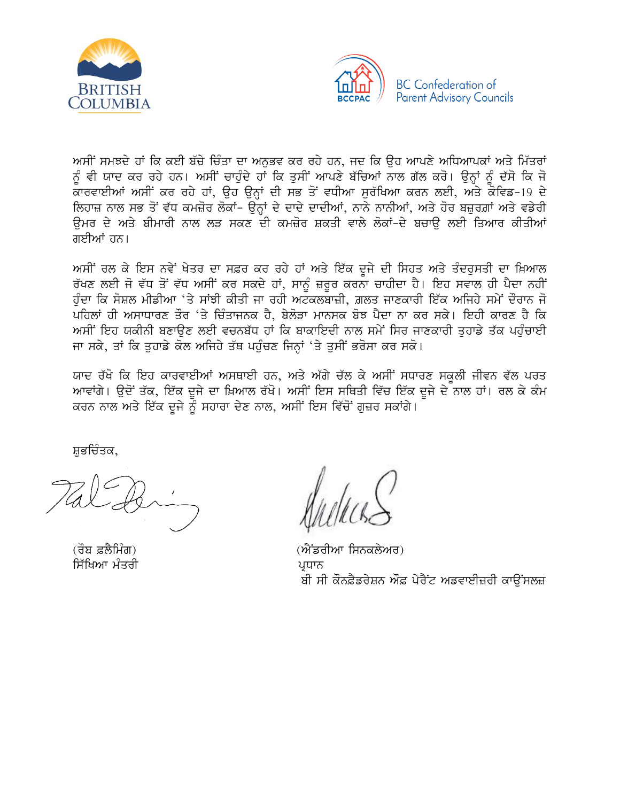



ਅਸੀਂ ਸਮਝਦੇ ਹਾਂ ਕਿ ਕਈ ਬੱਚੇ ਚਿੰਤਾ ਦਾ ਅਨੁਭਵ ਕਰ ਰਹੇ ਹਨ, ਜਦ ਕਿ ਉਹ ਆਪਣੇ ਅਧਿਆਪਕਾਂ ਅਤੇ ਮਿੱਤਰਾਂ ਨੂੰ ਵੀ ਯਾਦ ਕਰ ਰਹੇ ਹਨ। ਅਸੀਂ ਚਾਹੁੰਦੇ ਹਾਂ ਕਿ ਤੁਸੀਂ ਆਪਣੇ ਬੱਚਿਆਂ ਨਾਲ ਗੱਲ ਕਰੋ। ਉਨ੍ਹਾਂ ਨੂੰ ਦੱਸੋ ਕਿ ਜੋ ਕਾਰਵਾਈਆਂ ਅਸੀਂ ਕਰ ਰਹੇ ਹਾਂ, ਉਹ ਉਨ੍ਹਾਂ ਦੀ ਸਭ ਤੋਂ ਵਧੀਆ ਸੁਰੱਖਿਆ ਕਰਨ ਲਈ, ਅਤੇ ਕੋਵਿਡ-19 ਦੇ ਲਿਹਾਜ਼ ਨਾਲ ਸਭ ਤੋਂ ਵੱਧ ਕਮਜ਼ੋਰ ਲੋਕਾਂ- ਉਨ੍ਹਾਂ ਦੇ ਦਾਦੇ ਦਾਦੀਆਂ, ਨਾਨੇ ਨਾਨੀਆਂ, ਅਤੇ ਹੋਰ ਬਜ਼ੁਰਗ਼ਾਂ ਅਤੇ ਵਡੇਰੀ ਉਮਰ ਦੇ ਅਤੇ ਬੀਮਾਰੀ ਨਾਲ ਲੜ ਸਕਣ ਦੀ ਕਮਜ਼ੋਰ ਸ਼ਕਤੀ ਵਾਲੇ ਲੋਕਾਂ-ਦੇ ਬਚਾੳ ਲਈ ਤਿਆਰ ਕੀਤੀਆਂ ਗਈਆਂ ਹਨ।

ਅਸੀਂ ਰਲ ਕੇ ਇਸ ਨਵੇਂ ਖੇਤਰ ਦਾ ਸਫ਼ਰ ਕਰ ਰਹੇ ਹਾਂ ਅਤੇ ਇੱਕ ਦੂਜੇ ਦੀ ਸਿਹਤ ਅਤੇ ਤੰਦਰੁਸਤੀ ਦਾ ਖ਼ਿਆਲ ਰੱਖਣ ਲਈ ਜੋ ਵੱਧ ਤੋਂ ਵੱਧ ਅਸੀਂ ਕਰ ਸਕਦੇ ਹਾਂ, ਸਾਨੂੰ ਜ਼ਰੂਰ ਕਰਨਾ ਚਾਹੀਦਾ ਹੈ। ਇਹ ਸਵਾਲ ਹੀ ਪੈਦਾ ਨਹੀਂ ਹੰਦਾ ਕਿ ਸੋਸ਼ਲ ਮੀਡੀਆ 'ਤੇ ਸਾਂਝੀ ਕੀਤੀ ਜਾ ਰਹੀ ਅਟਕਲਬਾਜ਼ੀ, ਗ਼ਲਤ ਜਾਣਕਾਰੀ ਇੱਕ ਅਜਿਹੇ ਸਮੇਂ ਦੌਰਾਨ ਜੋ ਪਹਿਲਾਂ ਹੀ ਅਸਾਧਾਰਣ ਤੌਰ 'ਤੇ ਚਿੰਤਾਜਨਕ ਹੈ, ਬੇਲੋੜਾ ਮਾਨਸਕ ਬੋਝ ਪੈਦਾ ਨਾ ਕਰ ਸਕੇ। ਇਹੀ ਕਾਰਣ ਹੈ ਕਿ ਅਸੀਂ ਇਹ ਯਕੀਨੀ ਬਣਾਉਣ ਲਈ ਵਚਨਬੱਧ ਹਾਂ ਕਿ ਬਾਕਾਇਦੀ ਨਾਲ ਸਮੇਂ ਸਿਰ ਜਾਣਕਾਰੀ ਤਹਾਡੇ ਤੱਕ ਪਹੰਚਾਈ ਜਾ ਸਕੇ, ਤਾਂ ਕਿ ਤਹਾਡੇ ਕੋਲ ਅਜਿਹੇ ਤੱਥ ਪਹੰਚਣ ਜਿਨਾਂ 'ਤੇ ਤਸੀਂ ਭਰੋਸਾ ਕਰ ਸਕੋ।

ਯਾਦ ਰੱਖੋ ਕਿ ਇਹ ਕਾਰਵਾਈਆਂ ਅਸਥਾਈ ਹਨ, ਅਤੇ ਅੱਗੇ ਚੱਲ ਕੇ ਅਸੀਂ ਸਧਾਰਣ ਸਕੂਲੀ ਜੀਵਨ ਵੱਲ ਪਰਤ ਆਵਾਂਗੇ। ਉਦੋਂ ਤੱਕ, ਇੱਕ ਦੂਜੇ ਦਾ ਖ਼ਿਆਲ ਰੱਖੋ। ਅਸੀਂ ਇਸ ਸਥਿਤੀ ਵਿੱਚ ਇੱਕ ਦੂਜੇ ਦੇ ਨਾਲ ਹਾਂ। ਰਲ ਕੇ ਕੰਮ ਕਰਨ ਨਾਲ ਅਤੇ ਇੱਕ ਦੂਜੇ ਨੂੰ ਸਹਾਰਾ ਦੇਣ ਨਾਲ, ਅਸੀਂ ਇਸ ਵਿੱਚੋਂ ਗੁਜ਼ਰ ਸਕਾਂਗੇ।

ਸ਼ਭਚਿੰਤਕ.

(ਰੌਬ ਫ਼ਲੈਮਿੰਗ) ਸਿੱਖਿਆ ਮੰਤਰੀ

(ਐਂਡਰੀਆ ਸਿਨਕਲੇਅਰ) ਪਧਾਨ ਬੀ ਸੀ ਕੌਨਫ਼ੈਡਰੇਸ਼ਨ ਔਫ਼ ਪੇਰੈਂਟ ਅਡਵਾਈਜ਼ਰੀ ਕਾਉਂਸਲਜ਼